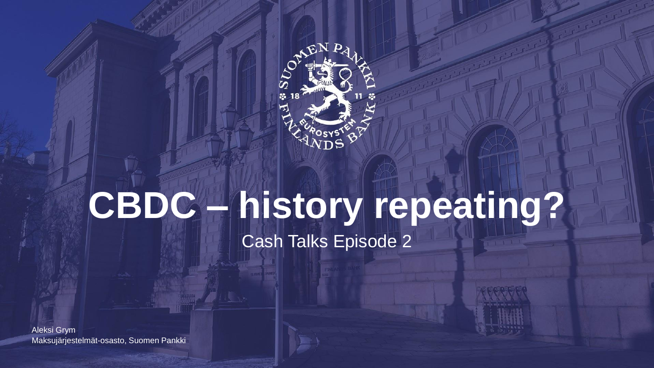

# **CBDC – history repeating?** Cash Talks Episode 2

Maksujärjestelmät-osasto, Suomen Pankki Aleksi Grym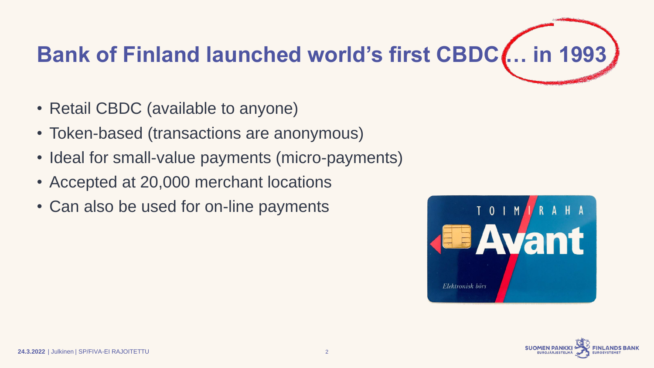# **Bank of Finland launched world's first CBDC … in 1993**

- Retail CBDC (available to anyone)
- Token-based (transactions are anonymous)
- Ideal for small-value payments (micro-payments)
- Accepted at 20,000 merchant locations
- Can also be used for on-line payments



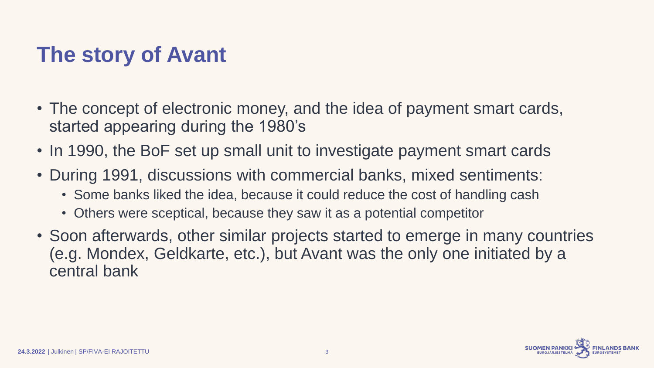## **The story of Avant**

- The concept of electronic money, and the idea of payment smart cards, started appearing during the 1980's
- In 1990, the BoF set up small unit to investigate payment smart cards
- During 1991, discussions with commercial banks, mixed sentiments:
	- Some banks liked the idea, because it could reduce the cost of handling cash
	- Others were sceptical, because they saw it as a potential competitor
- Soon afterwards, other similar projects started to emerge in many countries (e.g. Mondex, Geldkarte, etc.), but Avant was the only one initiated by a central bank

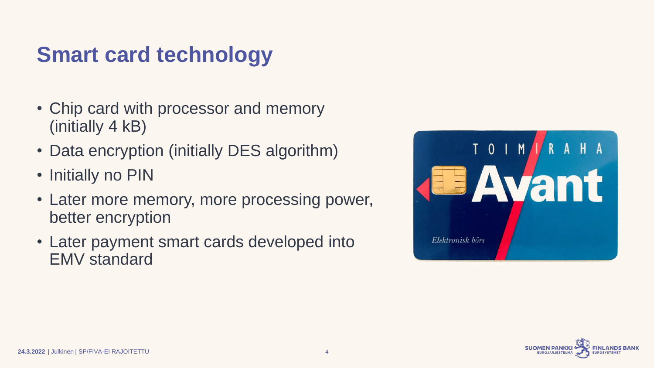#### **Smart card technology**

- Chip card with processor and memory (initially 4 kB)
- Data encryption (initially DES algorithm)
- Initially no PIN
- Later more memory, more processing power, better encryption
- Later payment smart cards developed into EMV standard



![](_page_3_Picture_7.jpeg)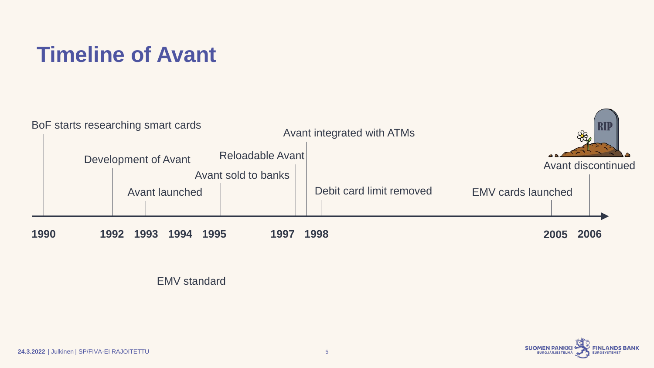#### **Timeline of Avant**

![](_page_4_Figure_1.jpeg)

![](_page_4_Picture_2.jpeg)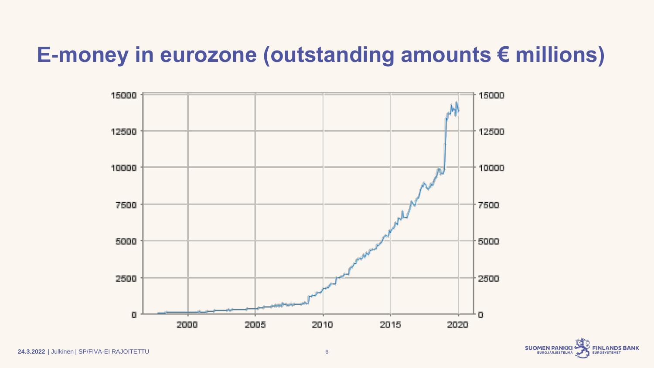#### **E-money in eurozone (outstanding amounts € millions)**

![](_page_5_Figure_1.jpeg)

![](_page_5_Picture_2.jpeg)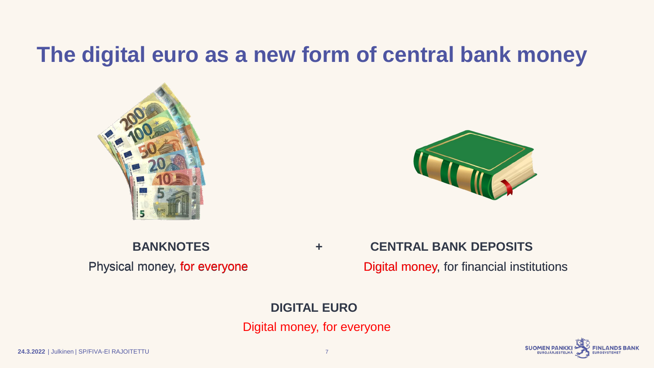#### **The digital euro as a new form of central bank money**

![](_page_6_Picture_1.jpeg)

![](_page_6_Picture_2.jpeg)

Physical money, for everyone Digital money, for everyone<br>DIGITAL EURO<br>Digital money, for everyone

#### **BANKNOTES + CENTRAL BANK DEPOSITS**

Physical money, for everyone Digital money, for financial institutions

#### **DIGITAL EURO**

![](_page_6_Picture_11.jpeg)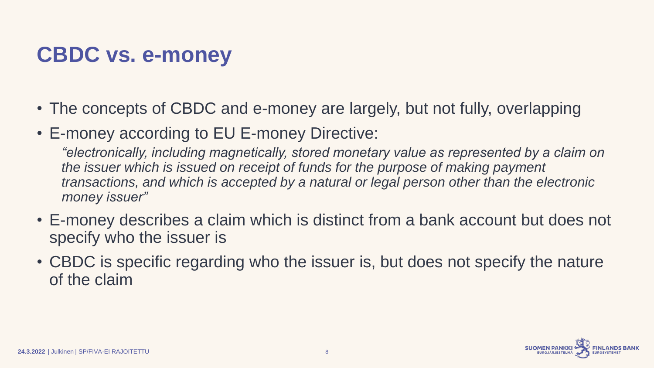## **CBDC vs. e-money**

- The concepts of CBDC and e-money are largely, but not fully, overlapping
- E-money according to EU E-money Directive:

*"electronically, including magnetically, stored monetary value as represented by a claim on the issuer which is issued on receipt of funds for the purpose of making payment transactions, and which is accepted by a natural or legal person other than the electronic money issuer"*

- E-money describes a claim which is distinct from a bank account but does not specify who the issuer is
- CBDC is specific regarding who the issuer is, but does not specify the nature of the claim

![](_page_7_Picture_6.jpeg)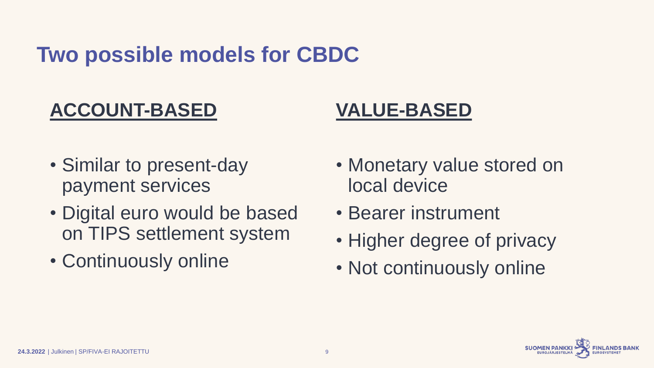#### **Two possible models for CBDC**

#### **ACCOUNT-BASED**

#### **VALUE-BASED**

- Similar to present-day payment services
- Digital euro would be based on TIPS settlement system
- Continuously online
- Monetary value stored on local device
- Bearer instrument
- Higher degree of privacy
- Not continuously online

![](_page_8_Picture_10.jpeg)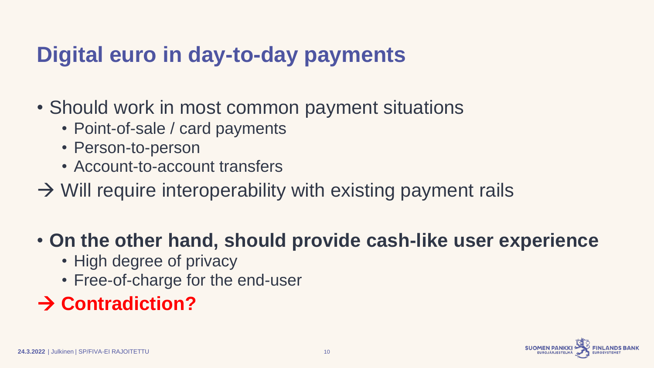### **Digital euro in day-to-day payments**

- Should work in most common payment situations
	- Point-of-sale / card payments
	- Person-to-person
	- Account-to-account transfers
- $\rightarrow$  Will require interoperability with existing payment rails

#### • **On the other hand, should provide cash-like user experience**

- High degree of privacy
- Free-of-charge for the end-user

#### → **Contradiction?**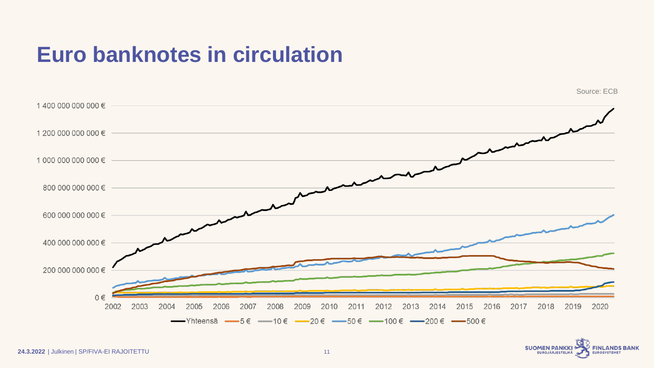#### **Euro banknotes in circulation**

![](_page_10_Figure_1.jpeg)

![](_page_10_Picture_2.jpeg)